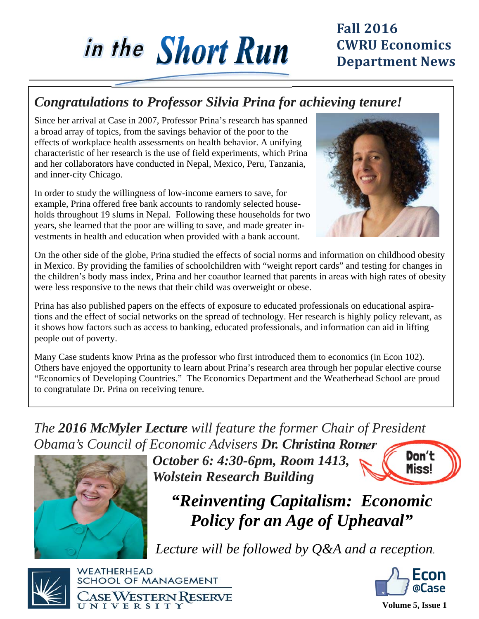# in the Short Run

#### **Fall 2016 CWRU Economics Department News**

#### *Congratulations to Professor Silvia Prina for achieving tenure!*

Since her arrival at Case in 2007, Professor Prina's research has spanned a broad array of topics, from the savings behavior of the poor to the effects of workplace health assessments on health behavior. A unifying characteristic of her research is the use of field experiments, which Prina and her collaborators have conducted in Nepal, Mexico, Peru, Tanzania, and inner-city Chicago.

In order to study the willingness of low-income earners to save, for example, Prina offered free bank accounts to randomly selected households throughout 19 slums in Nepal. Following these households for two years, she learned that the poor are willing to save, and made greater investments in health and education when provided with a bank account.



On the other side of the globe, Prina studied the effects of social norms and information on childhood obesity in Mexico. By providing the families of schoolchildren with "weight report cards" and testing for changes in the children's body mass index, Prina and her coauthor learned that parents in areas with high rates of obesity were less responsive to the news that their child was overweight or obese.

Prina has also published papers on the effects of exposure to educated professionals on educational aspirations and the effect of social networks on the spread of technology. Her research is highly policy relevant, as it shows how factors such as access to banking, educated professionals, and information can aid in lifting people out of poverty.

Many Case students know Prina as the professor who first introduced them to economics (in Econ 102). Others have enjoyed the opportunity to learn about Prina's research area through her popular elective course "Economics of Developing Countries." The Economics Department and the Weatherhead School are proud to congratulate Dr. Prina on receiving tenure.

*The 2016 McMyler Lecture will feature the former Chair of President Obama's Council of Economic Advisers Dr. Christina Romer* 



*October 6: 4:30-6pm, Room 1413, Wolstein Research Building*



*"Reinventing Capitalism: Economic Policy for an Age of Upheaval"* 

*Lecture will be followed by Q&A and a reception*.



**WEATHERHEAD SCHOOL OF MANAGEMENT** CaseWestern Reserve<br>university



**Volume 5, Issue 1**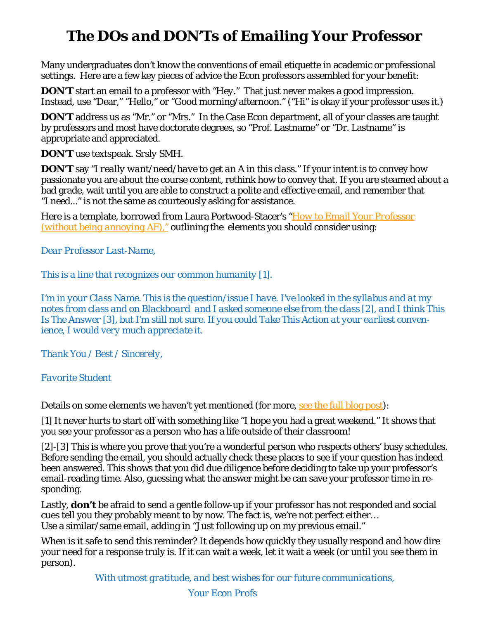# *The DOs and DON'Ts of Emailing Your Professor*

Many undergraduates don't know the conventions of email etiquette in academic or professional settings. Here are a few key pieces of advice the Econ professors assembled for your benefit:

**DON'T** start an email to a professor with *"Hey."* That just never makes a good impression. Instead, use "Dear," "Hello," or "Good morning/afternoon." ("Hi" is okay if your professor uses it.)

**DON'T** address us as "Mr." or "Mrs." In the Case Econ department, all of your classes are taught by professors and most have doctorate degrees, so "Prof. Lastname" or "Dr. Lastname" is appropriate and appreciated.

**DON'T** use textspeak. *Srsly SMH.* 

**DON'T** say *"I really want/need/have to get an A in this class."* If your intent is to convey how passionate you are about the course content, rethink how to convey that. If you are steamed about a bad grade, wait until you are able to construct a polite and effective email, and remember that *"I need..."* is not the same as courteously asking for assistance.

Here is a template, borrowed from Laura Portwood-Stacer's *"How to Email Your Professor (without being annoying AF),"* outlining the elements you should consider using:

*Dear Professor Last-Name,*

*This is a line that recognizes our common humanity [1].*

*I'm in your Class Name. This is the question/issue I have. I've looked in the syllabus and at my notes from class and on Blackboard and I asked someone else from the class [2], and I think This Is The Answer [3], but I'm still not sure. If you could Take This Action at your earliest convenience, I would very much appreciate it.*

*Thank You / Best / Sincerely,* 

*Favorite Student* 

Details on some elements we haven't yet mentioned (for more, see the full blog post):

[1] It never hurts to start off with something like "I hope you had a great weekend." It shows that you see your professor as a person who has a life outside of their classroom!

[2]-[3] This is where you prove that you're a wonderful person who respects others' busy schedules. Before sending the email, you should actually check these places to see if your question has indeed been answered. This shows that you did due diligence before deciding to take up your professor's email-reading time. Also, guessing what the answer might be can save your professor time in responding.

Lastly, **don't** be afraid to send a gentle follow-up if your professor has not responded and social cues tell you they probably meant to by now. The fact is, we're not perfect either… Use a similar/same email, adding in "Just following up on my previous email."

When is it safe to send this reminder? It depends how quickly they usually respond and how dire your need for a response truly is. If it can wait a week, let it wait a week (or until you see them in person).

> *With utmost gratitude, and best wishes for our future communications, Your Econ Profs*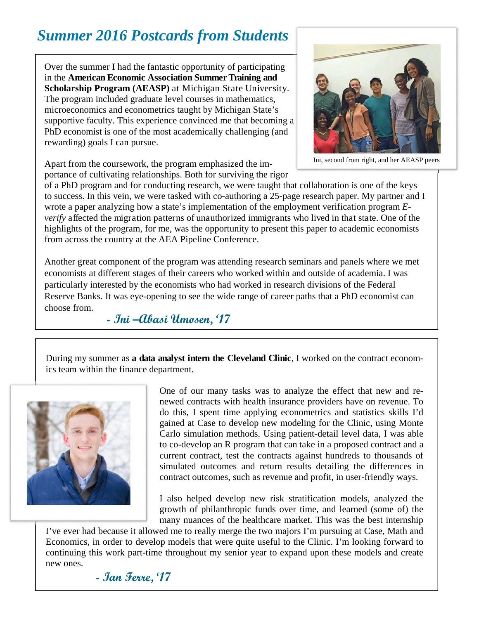### *Summer 2016 Postcards from Students*

Over the summer I had the fantastic opportunity of participating in the **American Economic Association Summer Training and Scholarship Program (AEASP)** at Michigan State University. The program included graduate level courses in mathematics, microeconomics and econometrics taught by Michigan State's supportive faculty. This experience convinced me that becoming a PhD economist is one of the most academically challenging (and rewarding) goals I can pursue.





Ini, second from right, and her AEASP peers

of a PhD program and for conducting research, we were taught that collaboration is one of the keys to success. In this vein, we were tasked with co-authoring a 25-page research paper. My partner and I wrote a paper analyzing how a state's implementation of the employment verification program *Everify* affected the migration patterns of unauthorized immigrants who lived in that state. One of the highlights of the program, for me, was the opportunity to present this paper to academic economists from across the country at the AEA Pipeline Conference.

Another great component of the program was attending research seminars and panels where we met economists at different stages of their careers who worked within and outside of academia. I was particularly interested by the economists who had worked in research divisions of the Federal Reserve Banks. It was eye-opening to see the wide range of career paths that a PhD economist can choose from.

**- Ini –Abasi Umosen, '17** 

During my summer as **a data analyst intern the Cleveland Clinic**, I worked on the contract economics team within the finance department.



One of our many tasks was to analyze the effect that new and renewed contracts with health insurance providers have on revenue. To do this, I spent time applying econometrics and statistics skills I'd gained at Case to develop new modeling for the Clinic, using Monte Carlo simulation methods. Using patient-detail level data, I was able to co-develop an R program that can take in a proposed contract and a current contract, test the contracts against hundreds to thousands of simulated outcomes and return results detailing the differences in contract outcomes, such as revenue and profit, in user-friendly ways.

I also helped develop new risk stratification models, analyzed the growth of philanthropic funds over time, and learned (some of) the many nuances of the healthcare market. This was the best internship

I've ever had because it allowed me to really merge the two majors I'm pursuing at Case, Math and Economics, in order to develop models that were quite useful to the Clinic. I'm looking forward to continuing this work part-time throughout my senior year to expand upon these models and create new ones.

**- Ian Ferre, '17**